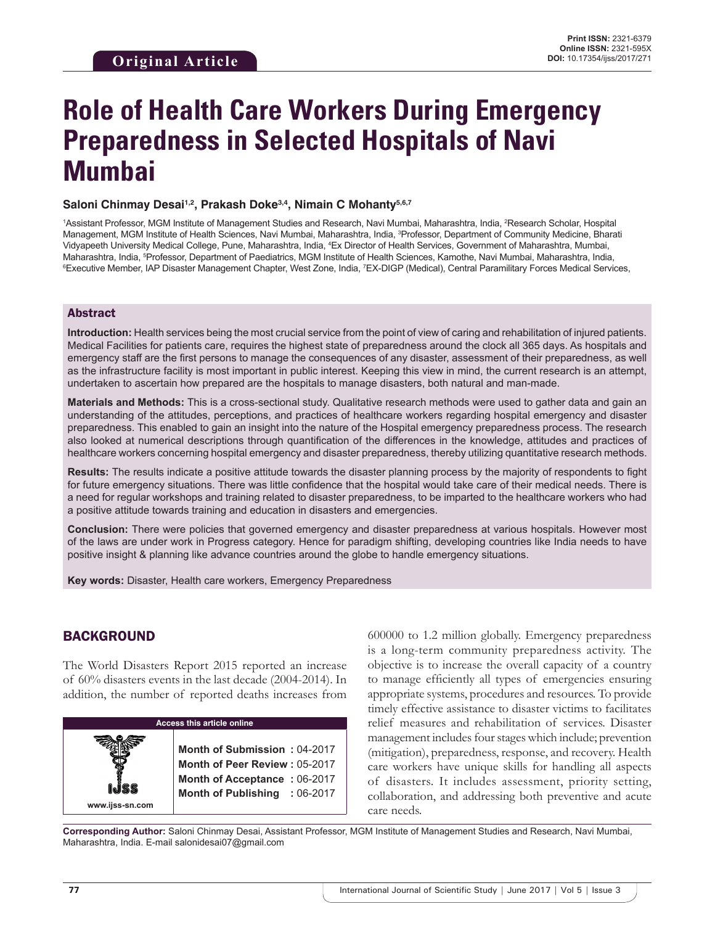# **Role of Health Care Workers During Emergency Preparedness in Selected Hospitals of Navi Mumbai**

#### Saloni Chinmay Desai<sup>1,2</sup>, Prakash Doke<sup>3,4</sup>, Nimain C Mohanty<sup>5,6,7</sup>

1Assistant Professor, MGM Institute of Management Studies and Research, Navi Mumbai, Maharashtra, India, <sup>2</sup>Research Scholar, Hospital Management, MGM Institute of Health Sciences, Navi Mumbai, Maharashtra, India, <sup>3</sup>Professor, Department of Community Medicine, Bharati Vidyapeeth University Medical College, Pune, Maharashtra, India, 4 Ex Director of Health Services, Government of Maharashtra, Mumbai, Maharashtra, India, <sup>s</sup>Professor, Department of Paediatrics, MGM Institute of Health Sciences, Kamothe, Navi Mumbai, Maharashtra, India,<br><sup>s</sup>Executive Member, IAP Disaster Management Chanter, West Zone, India, ZEX-DIGP (Med Executive Member, IAP Disaster Management Chapter, West Zone, India, <sup>7</sup>EX-DIGP (Medical), Central Paramilitary Forces Medical Services,

#### Abstract

**Introduction:** Health services being the most crucial service from the point of view of caring and rehabilitation of injured patients. Medical Facilities for patients care, requires the highest state of preparedness around the clock all 365 days. As hospitals and emergency staff are the first persons to manage the consequences of any disaster, assessment of their preparedness, as well as the infrastructure facility is most important in public interest. Keeping this view in mind, the current research is an attempt, undertaken to ascertain how prepared are the hospitals to manage disasters, both natural and man-made.

**Materials and Methods:** This is a cross-sectional study. Qualitative research methods were used to gather data and gain an understanding of the attitudes, perceptions, and practices of healthcare workers regarding hospital emergency and disaster preparedness. This enabled to gain an insight into the nature of the Hospital emergency preparedness process. The research also looked at numerical descriptions through quantification of the differences in the knowledge, attitudes and practices of healthcare workers concerning hospital emergency and disaster preparedness, thereby utilizing quantitative research methods.

**Results:** The results indicate a positive attitude towards the disaster planning process by the majority of respondents to fight for future emergency situations. There was little confidence that the hospital would take care of their medical needs. There is a need for regular workshops and training related to disaster preparedness, to be imparted to the healthcare workers who had a positive attitude towards training and education in disasters and emergencies.

**Conclusion:** There were policies that governed emergency and disaster preparedness at various hospitals. However most of the laws are under work in Progress category. Hence for paradigm shifting, developing countries like India needs to have positive insight & planning like advance countries around the globe to handle emergency situations.

**Key words:** Disaster, Health care workers, Emergency Preparedness

## BACKGROUND

**www.ijss-sn.com**

The World Disasters Report 2015 reported an increase of 60% disasters events in the last decade (2004-2014). In addition, the number of reported deaths increases from

#### **Access this article online**

**Month of Submission :** 04-2017 **Month of Peer Review :** 05-2017 **Month of Acceptance :** 06-2017 **Month of Publishing :** 06-2017 600000 to 1.2 million globally. Emergency preparedness is a long-term community preparedness activity. The objective is to increase the overall capacity of a country to manage efficiently all types of emergencies ensuring appropriate systems, procedures and resources. To provide timely effective assistance to disaster victims to facilitates relief measures and rehabilitation of services. Disaster management includes four stages which include; prevention (mitigation), preparedness, response, and recovery. Health care workers have unique skills for handling all aspects of disasters. It includes assessment, priority setting, collaboration, and addressing both preventive and acute care needs.

**Corresponding Author:** Saloni Chinmay Desai, Assistant Professor, MGM Institute of Management Studies and Research, Navi Mumbai, Maharashtra, India. E-mail salonidesai07@gmail.com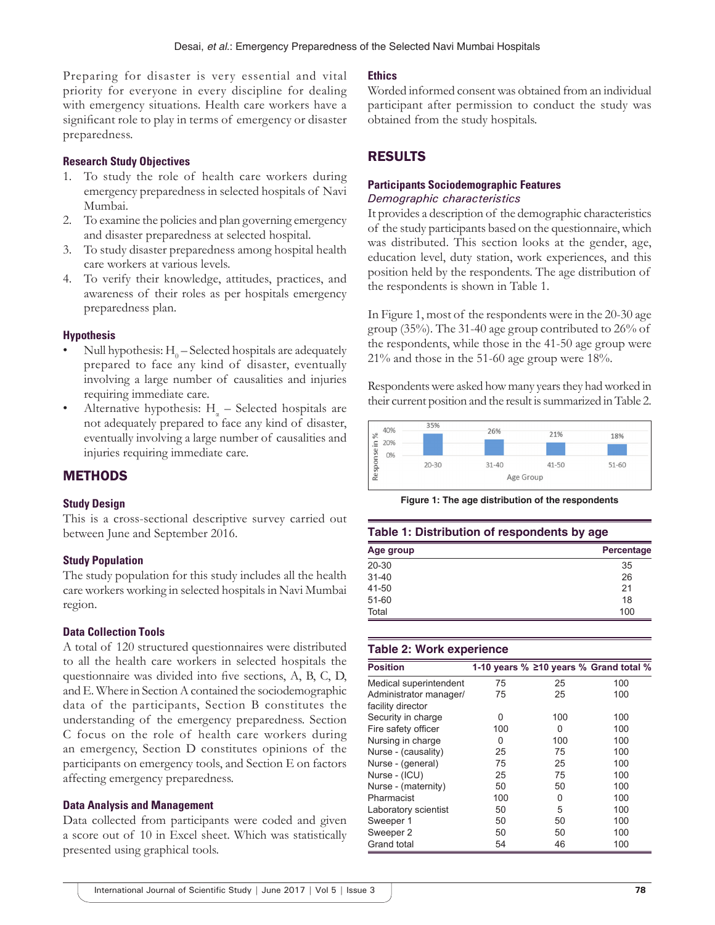Preparing for disaster is very essential and vital priority for everyone in every discipline for dealing with emergency situations. Health care workers have a significant role to play in terms of emergency or disaster preparedness.

### **Research Study Objectives**

- 1. To study the role of health care workers during emergency preparedness in selected hospitals of Navi Mumbai.
- 2. To examine the policies and plan governing emergency and disaster preparedness at selected hospital.
- 3. To study disaster preparedness among hospital health care workers at various levels.
- 4. To verify their knowledge, attitudes, practices, and awareness of their roles as per hospitals emergency preparedness plan.

#### **Hypothesis**

- Null hypothesis:  $H_0$  Selected hospitals are adequately prepared to face any kind of disaster, eventually involving a large number of causalities and injuries requiring immediate care.
- Alternative hypothesis:  $H_{\alpha}$  Selected hospitals are not adequately prepared to face any kind of disaster, eventually involving a large number of causalities and injuries requiring immediate care.

## **METHODS**

#### **Study Design**

This is a cross-sectional descriptive survey carried out between June and September 2016.

#### **Study Population**

The study population for this study includes all the health care workers working in selected hospitals in Navi Mumbai region.

#### **Data Collection Tools**

A total of 120 structured questionnaires were distributed to all the health care workers in selected hospitals the questionnaire was divided into five sections, A, B, C, D, and E. Where in Section A contained the sociodemographic data of the participants, Section B constitutes the understanding of the emergency preparedness. Section C focus on the role of health care workers during an emergency, Section D constitutes opinions of the participants on emergency tools, and Section E on factors affecting emergency preparedness.

#### **Data Analysis and Management**

Data collected from participants were coded and given a score out of 10 in Excel sheet. Which was statistically presented using graphical tools.

#### **Ethics**

Worded informed consent was obtained from an individual participant after permission to conduct the study was obtained from the study hospitals.

## RESULTS

#### **Participants Sociodemographic Features** *Demographic characteristics*

It provides a description of the demographic characteristics of the study participants based on the questionnaire, which was distributed. This section looks at the gender, age, education level, duty station, work experiences, and this position held by the respondents. The age distribution of the respondents is shown in Table 1.

In Figure 1, most of the respondents were in the 20-30 age group (35%). The 31-40 age group contributed to 26% of the respondents, while those in the 41-50 age group were 21% and those in the 51-60 age group were 18%.

Respondents were asked how many years they had worked in their current position and the result is summarized in Table 2.



**Figure 1: The age distribution of the respondents**

#### **Table 1: Distribution of respondents by age**

| Age group | Percentage |
|-----------|------------|
| $20 - 30$ | 35         |
| $31 - 40$ | 26         |
| 41-50     | 21         |
| $51 - 60$ | 18         |
| Total     | 100        |

#### **Table 2: Work experience**

| <b>Position</b>                             |     |     | 1-10 years % ≥10 years % Grand total % |
|---------------------------------------------|-----|-----|----------------------------------------|
| Medical superintendent                      | 75  | 25  | 100                                    |
| Administrator manager/<br>facility director | 75  | 25  | 100                                    |
| Security in charge                          | 0   | 100 | 100                                    |
| Fire safety officer                         | 100 | 0   | 100                                    |
| Nursing in charge                           | 0   | 100 | 100                                    |
| Nurse - (causality)                         | 25  | 75  | 100                                    |
| Nurse - (general)                           | 75  | 25  | 100                                    |
| Nurse - (ICU)                               | 25  | 75  | 100                                    |
| Nurse - (maternity)                         | 50  | 50  | 100                                    |
| Pharmacist                                  | 100 | 0   | 100                                    |
| Laboratory scientist                        | 50  | 5   | 100                                    |
| Sweeper 1                                   | 50  | 50  | 100                                    |
| Sweeper 2                                   | 50  | 50  | 100                                    |
| <b>Grand total</b>                          | 54  | 46  | 100                                    |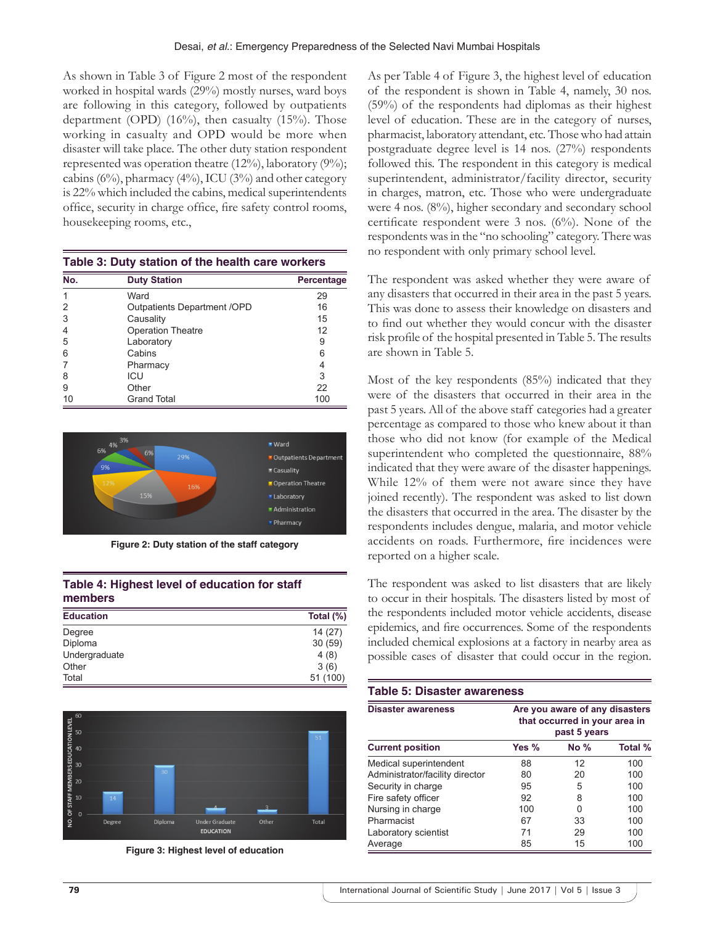As shown in Table 3 of Figure 2 most of the respondent worked in hospital wards (29%) mostly nurses, ward boys are following in this category, followed by outpatients department (OPD)  $(16\%)$ , then casualty  $(15\%)$ . Those working in casualty and OPD would be more when disaster will take place. The other duty station respondent represented was operation theatre (12%), laboratory (9%); cabins (6%), pharmacy (4%), ICU (3%) and other category is 22% which included the cabins, medical superintendents office, security in charge office, fire safety control rooms, housekeeping rooms, etc.,

| Table 5. Duty Station of the Health care workers |                              |            |  |
|--------------------------------------------------|------------------------------|------------|--|
| No.                                              | <b>Duty Station</b>          | Percentage |  |
|                                                  | Ward                         | 29         |  |
| 2                                                | Outpatients Department / OPD | 16         |  |
| 3                                                | Causality                    | 15         |  |
| 4                                                | <b>Operation Theatre</b>     | 12         |  |
| 5                                                | Laboratory                   | 9          |  |
| 6                                                | Cabins                       | 6          |  |
|                                                  | Pharmacy                     | 4          |  |
| 8                                                | ICU                          | 3          |  |
| 9                                                | Other                        | 22         |  |
| 10                                               | Grand Total                  | 100        |  |

**Table 3: Duty station of the health care workers**



**Figure 2: Duty station of the staff category**

| Table 4: Highest level of education for staff |  |
|-----------------------------------------------|--|
| members                                       |  |

| <b>Education</b> | Total (%) |
|------------------|-----------|
| Degree           | 14(27)    |
| Diploma          | 30(59)    |
| Undergraduate    | 4(8)      |
| Other            | 3(6)      |
| Total            | 51 (100)  |



**Figure 3: Highest level of education** 

As per Table 4 of Figure 3, the highest level of education of the respondent is shown in Table 4, namely, 30 nos. (59%) of the respondents had diplomas as their highest level of education. These are in the category of nurses, pharmacist, laboratory attendant, etc. Those who had attain postgraduate degree level is 14 nos. (27%) respondents followed this. The respondent in this category is medical superintendent, administrator/facility director, security in charges, matron, etc. Those who were undergraduate were 4 nos. (8%), higher secondary and secondary school certificate respondent were 3 nos. (6%). None of the respondents was in the "no schooling" category. There was no respondent with only primary school level.

The respondent was asked whether they were aware of any disasters that occurred in their area in the past 5 years. This was done to assess their knowledge on disasters and to find out whether they would concur with the disaster risk profile of the hospital presented in Table 5. The results are shown in Table 5.

Most of the key respondents (85%) indicated that they were of the disasters that occurred in their area in the past 5 years. All of the above staff categories had a greater percentage as compared to those who knew about it than those who did not know (for example of the Medical superintendent who completed the questionnaire, 88% indicated that they were aware of the disaster happenings. While 12% of them were not aware since they have joined recently). The respondent was asked to list down the disasters that occurred in the area. The disaster by the respondents includes dengue, malaria, and motor vehicle accidents on roads. Furthermore, fire incidences were reported on a higher scale.

The respondent was asked to list disasters that are likely to occur in their hospitals. The disasters listed by most of the respondents included motor vehicle accidents, disease epidemics, and fire occurrences. Some of the respondents included chemical explosions at a factory in nearby area as possible cases of disaster that could occur in the region.

| <b>Table 5: Disaster awareness</b> |                                                                                 |        |         |  |
|------------------------------------|---------------------------------------------------------------------------------|--------|---------|--|
| <b>Disaster awareness</b>          | Are you aware of any disasters<br>that occurred in your area in<br>past 5 years |        |         |  |
| <b>Current position</b>            | Yes $%$                                                                         | $No\%$ | Total % |  |
| Medical superintendent             | 88                                                                              | 12     | 100     |  |
| Administrator/facility director    | 80                                                                              | 20     | 100     |  |
| Security in charge                 | 95                                                                              | 5      | 100     |  |
| Fire safety officer                | 92                                                                              | 8      | 100     |  |
| Nursing in charge                  | 100                                                                             | 0      | 100     |  |
| Pharmacist                         | 67                                                                              | 33     | 100     |  |
| Laboratory scientist               | 71                                                                              | 29     | 100     |  |
| Average                            | 85                                                                              | 15     | 100     |  |